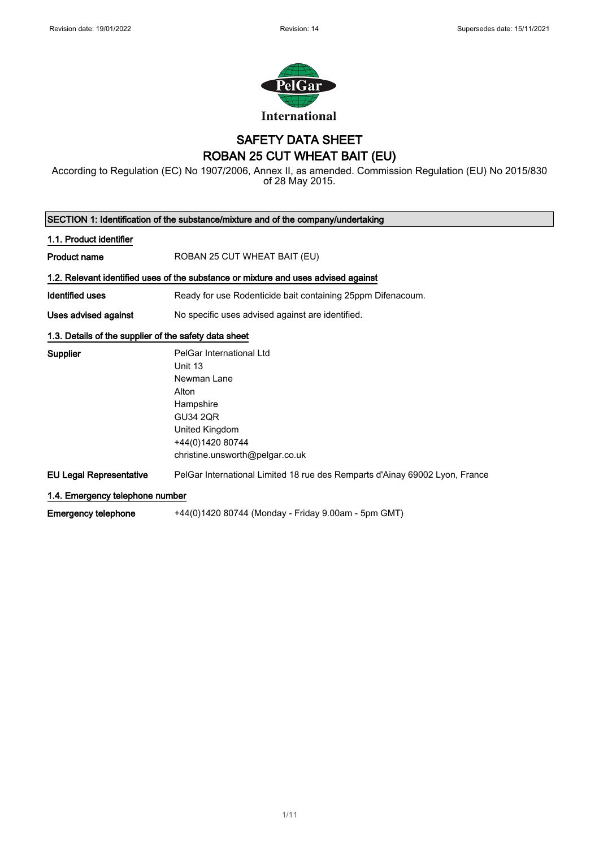

## SAFETY DATA SHEET ROBAN 25 CUT WHEAT BAIT (EU)

According to Regulation (EC) No 1907/2006, Annex II, as amended. Commission Regulation (EU) No 2015/830 of 28 May 2015.

| SECTION 1: Identification of the substance/mixture and of the company/undertaking  |                                                                                                                                                                      |  |
|------------------------------------------------------------------------------------|----------------------------------------------------------------------------------------------------------------------------------------------------------------------|--|
| 1.1. Product identifier                                                            |                                                                                                                                                                      |  |
| <b>Product name</b>                                                                | ROBAN 25 CUT WHEAT BAIT (EU)                                                                                                                                         |  |
| 1.2. Relevant identified uses of the substance or mixture and uses advised against |                                                                                                                                                                      |  |
| <b>Identified uses</b>                                                             | Ready for use Rodenticide bait containing 25ppm Difenacoum.                                                                                                          |  |
| Uses advised against                                                               | No specific uses advised against are identified.                                                                                                                     |  |
| 1.3. Details of the supplier of the safety data sheet                              |                                                                                                                                                                      |  |
| Supplier                                                                           | PelGar International Ltd<br>Unit 13<br>Newman Lane<br>Alton<br>Hampshire<br><b>GU34 2QR</b><br>United Kingdom<br>+44(0)1420 80744<br>christine.unsworth@pelgar.co.uk |  |
| <b>EU Legal Representative</b>                                                     | PelGar International Limited 18 rue des Remparts d'Ainay 69002 Lyon, France                                                                                          |  |
| 1.4. Emergency telephone number                                                    |                                                                                                                                                                      |  |
| Emergency telephone                                                                | +44(0)1420 80744 (Monday - Friday 9.00am - 5pm GMT)                                                                                                                  |  |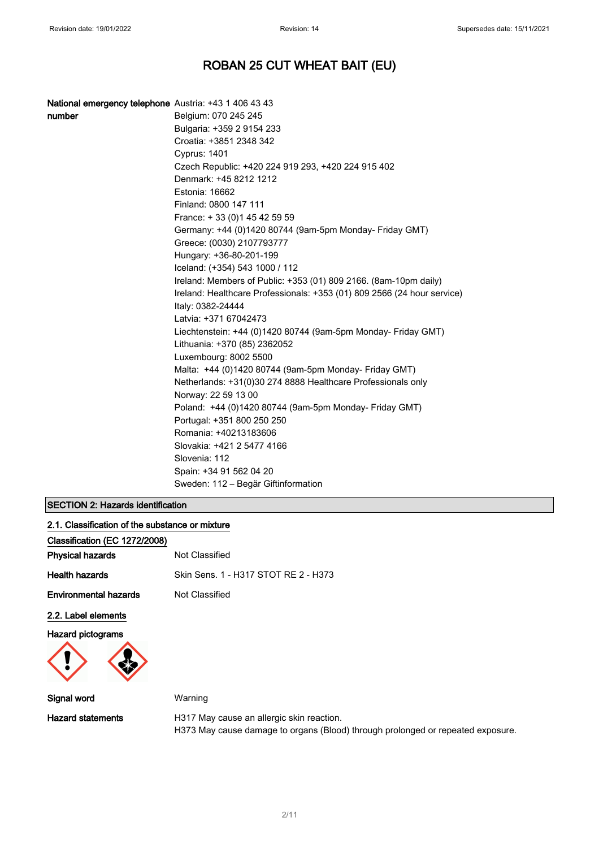| National emergency telephone Austria: +43 1 406 43 43 |                                                                                              |
|-------------------------------------------------------|----------------------------------------------------------------------------------------------|
| number                                                | Belgium: 070 245 245                                                                         |
|                                                       | Bulgaria: +359 2 9154 233                                                                    |
|                                                       | Croatia: +3851 2348 342                                                                      |
|                                                       | Cyprus: 1401                                                                                 |
|                                                       | Czech Republic: +420 224 919 293, +420 224 915 402                                           |
|                                                       | Denmark: +45 8212 1212                                                                       |
|                                                       | Estonia: 16662                                                                               |
|                                                       | Finland: 0800 147 111                                                                        |
|                                                       | France: +33 (0) 145 42 59 59                                                                 |
|                                                       | Germany: +44 (0)1420 80744 (9am-5pm Monday- Friday GMT)                                      |
|                                                       | Greece: (0030) 2107793777                                                                    |
|                                                       | Hungary: +36-80-201-199                                                                      |
|                                                       | Iceland: (+354) 543 1000 / 112                                                               |
|                                                       | Ireland: Members of Public: +353 (01) 809 2166. (8am-10pm daily)                             |
|                                                       | Ireland: Healthcare Professionals: +353 (01) 809 2566 (24 hour service)<br>Italy: 0382-24444 |
|                                                       | Latvia: +371 67042473                                                                        |
|                                                       | Liechtenstein: +44 (0)1420 80744 (9am-5pm Monday- Friday GMT)                                |
|                                                       | Lithuania: +370 (85) 2362052                                                                 |
|                                                       | Luxembourg: 8002 5500                                                                        |
|                                                       | Malta: +44 (0)1420 80744 (9am-5pm Monday- Friday GMT)                                        |
|                                                       | Netherlands: +31(0)30 274 8888 Healthcare Professionals only                                 |
|                                                       | Norway: 22 59 13 00                                                                          |
|                                                       | Poland: +44 (0)1420 80744 (9am-5pm Monday- Friday GMT)                                       |
|                                                       | Portugal: +351 800 250 250                                                                   |
|                                                       | Romania: +40213183606                                                                        |
|                                                       | Slovakia: +421 2 5477 4166                                                                   |
|                                                       | Slovenia: 112                                                                                |
|                                                       | Spain: +34 91 562 04 20                                                                      |
|                                                       | Sweden: 112 – Begär Giftinformation                                                          |

### SECTION 2: Hazards identification

| 2.1. Classification of the substance or mixture |                                           |
|-------------------------------------------------|-------------------------------------------|
| Classification (EC 1272/2008)                   |                                           |
| <b>Physical hazards</b>                         | Not Classified                            |
| <b>Health hazards</b>                           | Skin Sens. 1 - H317 STOT RE 2 - H373      |
| <b>Environmental hazards</b>                    | Not Classified                            |
| 2.2. Label elements                             |                                           |
| <b>Hazard pictograms</b>                        |                                           |
| Signal word                                     | Warning                                   |
| <b>Hazard statements</b>                        | H317 May cause an allergic skin reaction. |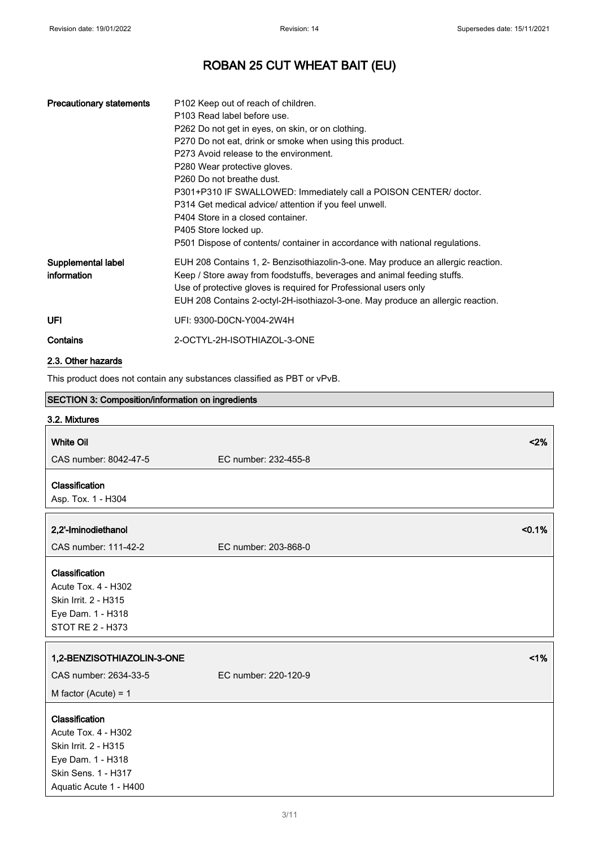| <b>Precautionary statements</b>                                         | P102 Keep out of reach of children.<br>P103 Read label before use.<br>P262 Do not get in eyes, on skin, or on clothing.<br>P270 Do not eat, drink or smoke when using this product.<br>P273 Avoid release to the environment.<br>P280 Wear protective gloves.<br>P <sub>260</sub> Do not breathe dust.<br>P301+P310 IF SWALLOWED: Immediately call a POISON CENTER/ doctor.<br>P314 Get medical advice/ attention if you feel unwell.<br>P404 Store in a closed container.<br>P405 Store locked up.<br>P501 Dispose of contents/ container in accordance with national regulations. |
|-------------------------------------------------------------------------|-------------------------------------------------------------------------------------------------------------------------------------------------------------------------------------------------------------------------------------------------------------------------------------------------------------------------------------------------------------------------------------------------------------------------------------------------------------------------------------------------------------------------------------------------------------------------------------|
| Supplemental label<br>information                                       | EUH 208 Contains 1, 2- Benzisothiazolin-3-one. May produce an allergic reaction.<br>Keep / Store away from foodstuffs, beverages and animal feeding stuffs.<br>Use of protective gloves is required for Professional users only<br>EUH 208 Contains 2-octyl-2H-isothiazol-3-one. May produce an allergic reaction.                                                                                                                                                                                                                                                                  |
| <b>UFI</b>                                                              | UFI: 9300-D0CN-Y004-2W4H                                                                                                                                                                                                                                                                                                                                                                                                                                                                                                                                                            |
| Contains                                                                | 2-OCTYL-2H-ISOTHIAZOL-3-ONE                                                                                                                                                                                                                                                                                                                                                                                                                                                                                                                                                         |
| 2.3. Other hazards                                                      |                                                                                                                                                                                                                                                                                                                                                                                                                                                                                                                                                                                     |
| This product does not contain any substances classified as PBT or vPvB. |                                                                                                                                                                                                                                                                                                                                                                                                                                                                                                                                                                                     |
| <b>SECTION 3: Composition/information on ingredients</b>                |                                                                                                                                                                                                                                                                                                                                                                                                                                                                                                                                                                                     |

| < 2%                 |
|----------------------|
| EC number: 232-455-8 |
|                      |
|                      |
| < 0.1%               |
| EC number: 203-868-0 |
|                      |
|                      |
|                      |
|                      |
|                      |
| 1%                   |
| EC number: 220-120-9 |
|                      |
|                      |
|                      |
|                      |
|                      |
|                      |
|                      |
|                      |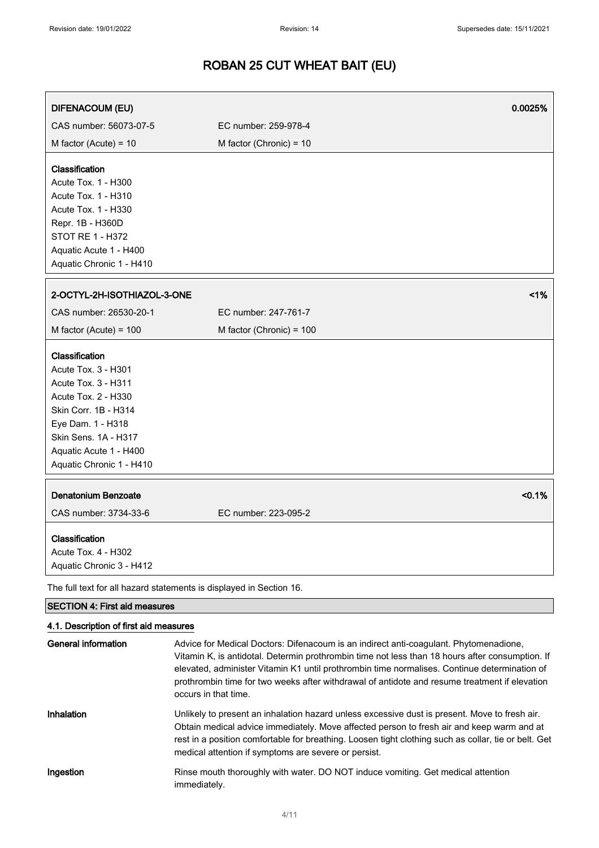| <b>DIFENACOUM (EU)</b>                                                                                                                                                                                         |                           | 0.0025% |
|----------------------------------------------------------------------------------------------------------------------------------------------------------------------------------------------------------------|---------------------------|---------|
| CAS number: 56073-07-5                                                                                                                                                                                         | EC number: 259-978-4      |         |
| M factor (Acute) = $10$                                                                                                                                                                                        | M factor (Chronic) = $10$ |         |
| Classification<br>Acute Tox. 1 - H300<br>Acute Tox. 1 - H310<br>Acute Tox. 1 - H330<br>Repr. 1B - H360D<br>STOT RE 1 - H372<br>Aquatic Acute 1 - H400<br>Aquatic Chronic 1 - H410                              |                           |         |
| 2-OCTYL-2H-ISOTHIAZOL-3-ONE                                                                                                                                                                                    |                           | 1%      |
| CAS number: 26530-20-1                                                                                                                                                                                         | EC number: 247-761-7      |         |
| M factor (Acute) = $100$                                                                                                                                                                                       | M factor (Chronic) = 100  |         |
| Classification<br>Acute Tox. 3 - H301<br>Acute Tox. 3 - H311<br>Acute Tox. 2 - H330<br>Skin Corr. 1B - H314<br>Eye Dam. 1 - H318<br>Skin Sens. 1A - H317<br>Aquatic Acute 1 - H400<br>Aquatic Chronic 1 - H410 |                           |         |
| <b>Denatonium Benzoate</b>                                                                                                                                                                                     |                           | < 0.1%  |
| CAS number: 3734-33-6                                                                                                                                                                                          | EC number: 223-095-2      |         |
| Classification<br>Acute Tox. 4 - H302<br>Aquatic Chronic 3 - H412                                                                                                                                              |                           |         |
| The full text for all hazard statements is displayed in Section 16.                                                                                                                                            |                           |         |
| <b>SECTION 4: First aid measures</b>                                                                                                                                                                           |                           |         |
| 4.1. Description of first aid measures                                                                                                                                                                         |                           |         |

| General information | Advice for Medical Doctors: Difenacoum is an indirect anti-coagulant. Phytomenadione,<br>Vitamin K, is antidotal. Determin prothrombin time not less than 18 hours after consumption. If<br>elevated, administer Vitamin K1 until prothrombin time normalises. Continue determination of<br>prothrombin time for two weeks after withdrawal of antidote and resume treatment if elevation<br>occurs in that time. |
|---------------------|-------------------------------------------------------------------------------------------------------------------------------------------------------------------------------------------------------------------------------------------------------------------------------------------------------------------------------------------------------------------------------------------------------------------|
| Inhalation          | Unlikely to present an inhalation hazard unless excessive dust is present. Move to fresh air.<br>Obtain medical advice immediately. Move affected person to fresh air and keep warm and at<br>rest in a position comfortable for breathing. Loosen tight clothing such as collar, tie or belt. Get<br>medical attention if symptoms are severe or persist.                                                        |
| Ingestion           | Rinse mouth thoroughly with water. DO NOT induce vomiting. Get medical attention<br>immediately.                                                                                                                                                                                                                                                                                                                  |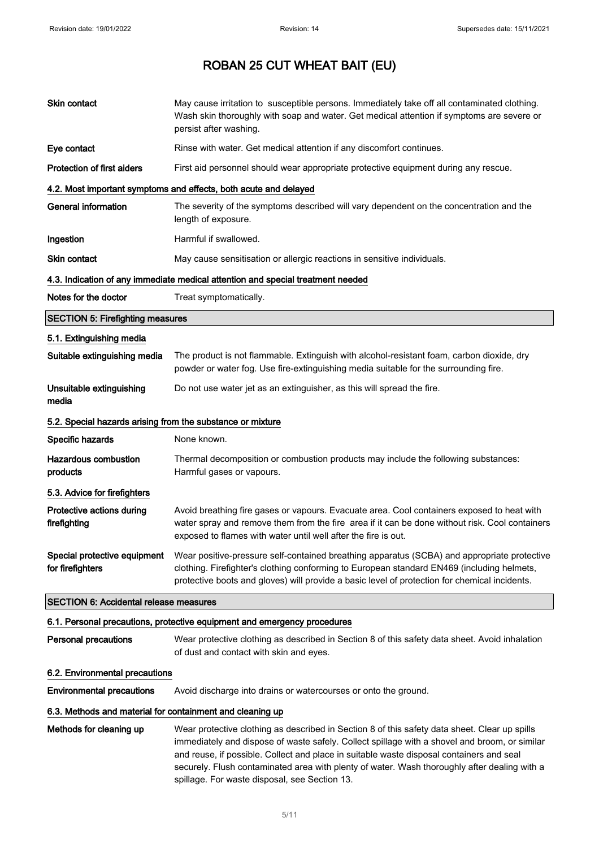| Skin contact                                               | May cause irritation to susceptible persons. Immediately take off all contaminated clothing.<br>Wash skin thoroughly with soap and water. Get medical attention if symptoms are severe or<br>persist after washing.                                                                                                                                                                                                                         |  |
|------------------------------------------------------------|---------------------------------------------------------------------------------------------------------------------------------------------------------------------------------------------------------------------------------------------------------------------------------------------------------------------------------------------------------------------------------------------------------------------------------------------|--|
| Eye contact                                                | Rinse with water. Get medical attention if any discomfort continues.                                                                                                                                                                                                                                                                                                                                                                        |  |
| <b>Protection of first aiders</b>                          | First aid personnel should wear appropriate protective equipment during any rescue.                                                                                                                                                                                                                                                                                                                                                         |  |
|                                                            | 4.2. Most important symptoms and effects, both acute and delayed                                                                                                                                                                                                                                                                                                                                                                            |  |
| <b>General information</b>                                 | The severity of the symptoms described will vary dependent on the concentration and the<br>length of exposure.                                                                                                                                                                                                                                                                                                                              |  |
| Ingestion                                                  | Harmful if swallowed.                                                                                                                                                                                                                                                                                                                                                                                                                       |  |
| Skin contact                                               | May cause sensitisation or allergic reactions in sensitive individuals.                                                                                                                                                                                                                                                                                                                                                                     |  |
|                                                            | 4.3. Indication of any immediate medical attention and special treatment needed                                                                                                                                                                                                                                                                                                                                                             |  |
| Notes for the doctor                                       | Treat symptomatically.                                                                                                                                                                                                                                                                                                                                                                                                                      |  |
| <b>SECTION 5: Firefighting measures</b>                    |                                                                                                                                                                                                                                                                                                                                                                                                                                             |  |
| 5.1. Extinguishing media                                   |                                                                                                                                                                                                                                                                                                                                                                                                                                             |  |
| Suitable extinguishing media                               | The product is not flammable. Extinguish with alcohol-resistant foam, carbon dioxide, dry<br>powder or water fog. Use fire-extinguishing media suitable for the surrounding fire.                                                                                                                                                                                                                                                           |  |
| Unsuitable extinguishing<br>media                          | Do not use water jet as an extinguisher, as this will spread the fire.                                                                                                                                                                                                                                                                                                                                                                      |  |
| 5.2. Special hazards arising from the substance or mixture |                                                                                                                                                                                                                                                                                                                                                                                                                                             |  |
| Specific hazards                                           | None known.                                                                                                                                                                                                                                                                                                                                                                                                                                 |  |
| <b>Hazardous combustion</b><br>products                    | Thermal decomposition or combustion products may include the following substances:<br>Harmful gases or vapours.                                                                                                                                                                                                                                                                                                                             |  |
| 5.3. Advice for firefighters                               |                                                                                                                                                                                                                                                                                                                                                                                                                                             |  |
| Protective actions during<br>firefighting                  | Avoid breathing fire gases or vapours. Evacuate area. Cool containers exposed to heat with<br>water spray and remove them from the fire area if it can be done without risk. Cool containers<br>exposed to flames with water until well after the fire is out.                                                                                                                                                                              |  |
| Special protective equipment<br>for firefighters           | Wear positive-pressure self-contained breathing apparatus (SCBA) and appropriate protective<br>clothing. Firefighter's clothing conforming to European standard EN469 (including helmets,<br>protective boots and gloves) will provide a basic level of protection for chemical incidents.                                                                                                                                                  |  |
| <b>SECTION 6: Accidental release measures</b>              |                                                                                                                                                                                                                                                                                                                                                                                                                                             |  |
|                                                            | 6.1. Personal precautions, protective equipment and emergency procedures                                                                                                                                                                                                                                                                                                                                                                    |  |
| Personal precautions                                       | Wear protective clothing as described in Section 8 of this safety data sheet. Avoid inhalation<br>of dust and contact with skin and eyes.                                                                                                                                                                                                                                                                                                   |  |
| 6.2. Environmental precautions                             |                                                                                                                                                                                                                                                                                                                                                                                                                                             |  |
| <b>Environmental precautions</b>                           | Avoid discharge into drains or watercourses or onto the ground.                                                                                                                                                                                                                                                                                                                                                                             |  |
| 6.3. Methods and material for containment and cleaning up  |                                                                                                                                                                                                                                                                                                                                                                                                                                             |  |
| Methods for cleaning up                                    | Wear protective clothing as described in Section 8 of this safety data sheet. Clear up spills<br>immediately and dispose of waste safely. Collect spillage with a shovel and broom, or similar<br>and reuse, if possible. Collect and place in suitable waste disposal containers and seal<br>securely. Flush contaminated area with plenty of water. Wash thoroughly after dealing with a<br>spillage. For waste disposal, see Section 13. |  |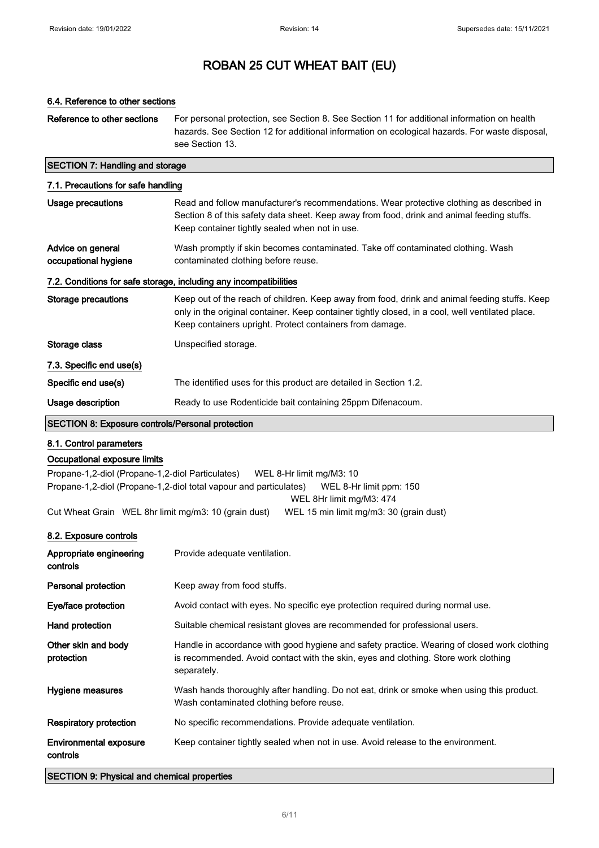#### 6.4. Reference to other sections

Reference to other sections For personal protection, see Section 8. See Section 11 for additional information on health hazards. See Section 12 for additional information on ecological hazards. For waste disposal, see Section 13.

### SECTION 7: Handling and storage

| 7.1. Precautions for safe handling                                |                                                                                                                                                                                                                                                               |  |
|-------------------------------------------------------------------|---------------------------------------------------------------------------------------------------------------------------------------------------------------------------------------------------------------------------------------------------------------|--|
| Usage precautions                                                 | Read and follow manufacturer's recommendations. Wear protective clothing as described in<br>Section 8 of this safety data sheet. Keep away from food, drink and animal feeding stuffs.<br>Keep container tightly sealed when not in use.                      |  |
| Advice on general<br>occupational hygiene                         | Wash promptly if skin becomes contaminated. Take off contaminated clothing. Wash<br>contaminated clothing before reuse.                                                                                                                                       |  |
| 7.2. Conditions for safe storage, including any incompatibilities |                                                                                                                                                                                                                                                               |  |
| Storage precautions                                               | Keep out of the reach of children. Keep away from food, drink and animal feeding stuffs. Keep<br>only in the original container. Keep container tightly closed, in a cool, well ventilated place.<br>Keep containers upright. Protect containers from damage. |  |
| Storage class                                                     | Unspecified storage.                                                                                                                                                                                                                                          |  |
| 7.3. Specific end use(s)                                          |                                                                                                                                                                                                                                                               |  |
| Specific end use(s)                                               | The identified uses for this product are detailed in Section 1.2.                                                                                                                                                                                             |  |
| Usage description                                                 | Ready to use Rodenticide bait containing 25ppm Difenacoum.                                                                                                                                                                                                    |  |
| <b>SECTION 8: Exposure controls/Personal protection</b>           |                                                                                                                                                                                                                                                               |  |

#### 8.1. Control parameters

#### Occupational exposure limits

Propane-1,2-diol (Propane-1,2-diol Particulates) WEL 8-Hr limit mg/M3: 10 Propane-1,2-diol (Propane-1,2-diol total vapour and particulates) WEL 8-Hr limit ppm: 150 WEL 8Hr limit mg/M3: 474

Cut Wheat Grain WEL 8hr limit mg/m3: 10 (grain dust) WEL 15 min limit mg/m3: 30 (grain dust)

### 8.2. Exposure controls

| Appropriate engineering<br>controls       | Provide adequate ventilation.                                                                                                                                                                     |
|-------------------------------------------|---------------------------------------------------------------------------------------------------------------------------------------------------------------------------------------------------|
| Personal protection                       | Keep away from food stuffs.                                                                                                                                                                       |
| Eye/face protection                       | Avoid contact with eyes. No specific eye protection required during normal use.                                                                                                                   |
| Hand protection                           | Suitable chemical resistant gloves are recommended for professional users.                                                                                                                        |
| Other skin and body<br>protection         | Handle in accordance with good hygiene and safety practice. Wearing of closed work clothing<br>is recommended. Avoid contact with the skin, eyes and clothing. Store work clothing<br>separately. |
| Hygiene measures                          | Wash hands thoroughly after handling. Do not eat, drink or smoke when using this product.<br>Wash contaminated clothing before reuse.                                                             |
| <b>Respiratory protection</b>             | No specific recommendations. Provide adequate ventilation.                                                                                                                                        |
| <b>Environmental exposure</b><br>controls | Keep container tightly sealed when not in use. Avoid release to the environment.                                                                                                                  |

SECTION 9: Physical and chemical properties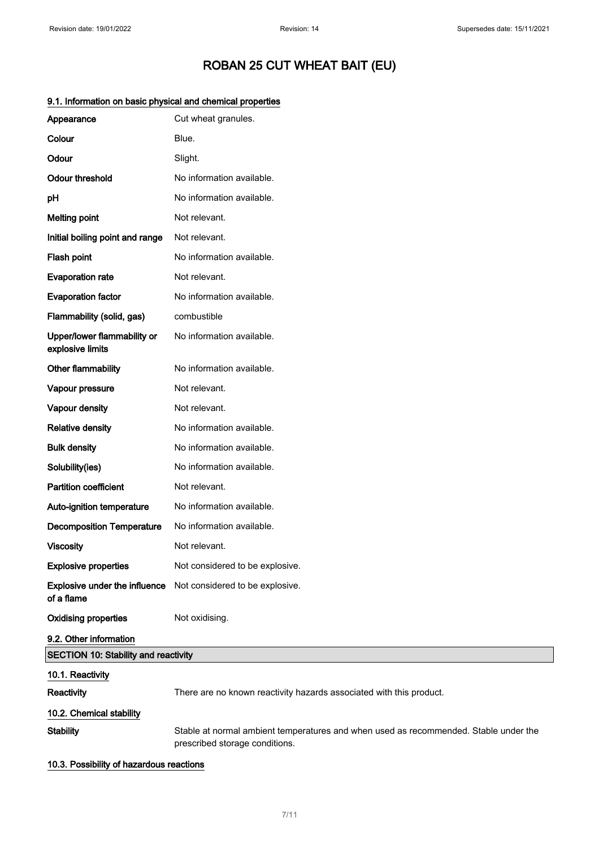| Appearance                                         | Cut wheat granules.                                                                                                    |
|----------------------------------------------------|------------------------------------------------------------------------------------------------------------------------|
| Colour                                             | Blue.                                                                                                                  |
| Odour                                              | Slight.                                                                                                                |
| <b>Odour threshold</b>                             | No information available.                                                                                              |
| pH                                                 | No information available.                                                                                              |
| <b>Melting point</b>                               | Not relevant.                                                                                                          |
| Initial boiling point and range                    | Not relevant.                                                                                                          |
| Flash point                                        | No information available.                                                                                              |
| <b>Evaporation rate</b>                            | Not relevant.                                                                                                          |
| <b>Evaporation factor</b>                          | No information available.                                                                                              |
| Flammability (solid, gas)                          | combustible                                                                                                            |
| Upper/lower flammability or<br>explosive limits    | No information available.                                                                                              |
| Other flammability                                 | No information available.                                                                                              |
| Vapour pressure                                    | Not relevant.                                                                                                          |
| Vapour density                                     | Not relevant.                                                                                                          |
| <b>Relative density</b>                            | No information available.                                                                                              |
| <b>Bulk density</b>                                | No information available.                                                                                              |
| Solubility(ies)                                    | No information available.                                                                                              |
| <b>Partition coefficient</b>                       | Not relevant.                                                                                                          |
| Auto-ignition temperature                          | No information available.                                                                                              |
| <b>Decomposition Temperature</b>                   | No information available.                                                                                              |
| <b>Viscosity</b>                                   | Not relevant.                                                                                                          |
| <b>Explosive properties</b>                        | Not considered to be explosive.                                                                                        |
| <b>Explosive under the influence</b><br>of a flame | Not considered to be explosive.                                                                                        |
| <b>Oxidising properties</b>                        | Not oxidising.                                                                                                         |
| 9.2. Other information                             |                                                                                                                        |
| <b>SECTION 10: Stability and reactivity</b>        |                                                                                                                        |
| 10.1. Reactivity                                   |                                                                                                                        |
| <b>Reactivity</b>                                  | There are no known reactivity hazards associated with this product.                                                    |
| 10.2. Chemical stability                           |                                                                                                                        |
| <b>Stability</b>                                   | Stable at normal ambient temperatures and when used as recommended. Stable under the<br>prescribed storage conditions. |

### 9.1. Information on basic physical and chemical properties

10.3. Possibility of hazardous reactions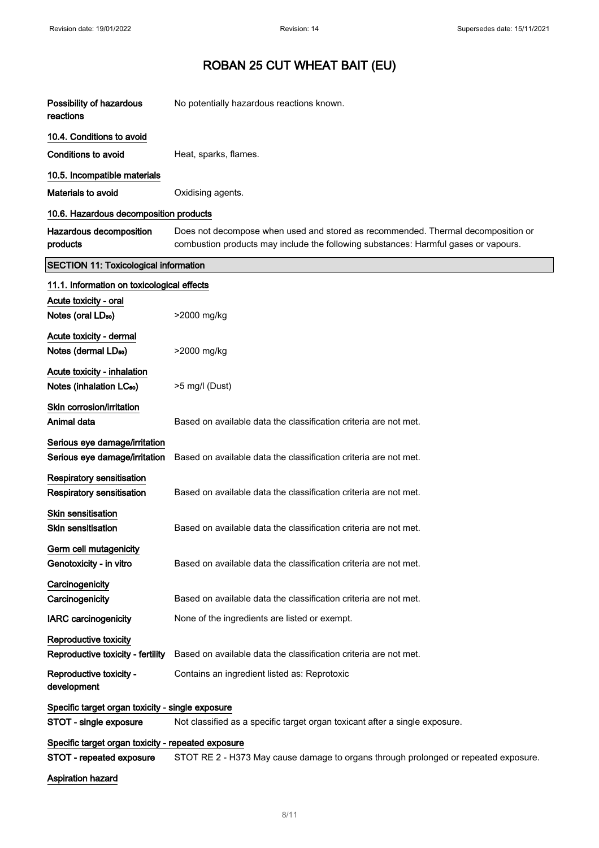| Possibility of hazardous<br>reactions                                | No potentially hazardous reactions known.                                                                                                                               |  |
|----------------------------------------------------------------------|-------------------------------------------------------------------------------------------------------------------------------------------------------------------------|--|
| 10.4. Conditions to avoid                                            |                                                                                                                                                                         |  |
| <b>Conditions to avoid</b>                                           | Heat, sparks, flames.                                                                                                                                                   |  |
| 10.5. Incompatible materials                                         |                                                                                                                                                                         |  |
| Materials to avoid                                                   | Oxidising agents.                                                                                                                                                       |  |
| 10.6. Hazardous decomposition products                               |                                                                                                                                                                         |  |
| Hazardous decomposition<br>products                                  | Does not decompose when used and stored as recommended. Thermal decomposition or<br>combustion products may include the following substances: Harmful gases or vapours. |  |
| <b>SECTION 11: Toxicological information</b>                         |                                                                                                                                                                         |  |
| 11.1. Information on toxicological effects                           |                                                                                                                                                                         |  |
| Acute toxicity - oral                                                |                                                                                                                                                                         |  |
| Notes (oral LD <sub>50</sub> )                                       | >2000 mg/kg                                                                                                                                                             |  |
| Acute toxicity - dermal<br>Notes (dermal LD <sub>50</sub> )          | >2000 mg/kg                                                                                                                                                             |  |
| Acute toxicity - inhalation<br>Notes (inhalation LC <sub>50</sub> )  | >5 mg/l (Dust)                                                                                                                                                          |  |
|                                                                      |                                                                                                                                                                         |  |
| Skin corrosion/irritation<br>Animal data                             | Based on available data the classification criteria are not met.                                                                                                        |  |
| Serious eye damage/irritation<br>Serious eye damage/irritation       | Based on available data the classification criteria are not met.                                                                                                        |  |
| <b>Respiratory sensitisation</b><br><b>Respiratory sensitisation</b> | Based on available data the classification criteria are not met.                                                                                                        |  |
| Skin sensitisation<br>Skin sensitisation                             | Based on available data the classification criteria are not met.                                                                                                        |  |
| Germ cell mutagenicity<br>Genotoxicity - in vitro                    | Based on available data the classification criteria are not met.                                                                                                        |  |
| Carcinogenicity<br>Carcinogenicity                                   | Based on available data the classification criteria are not met.                                                                                                        |  |
| <b>IARC</b> carcinogenicity                                          | None of the ingredients are listed or exempt.                                                                                                                           |  |
| Reproductive toxicity<br>Reproductive toxicity - fertility           | Based on available data the classification criteria are not met.                                                                                                        |  |
| Reproductive toxicity -<br>development                               | Contains an ingredient listed as: Reprotoxic                                                                                                                            |  |
| Specific target organ toxicity - single exposure                     |                                                                                                                                                                         |  |
| STOT - single exposure                                               | Not classified as a specific target organ toxicant after a single exposure.                                                                                             |  |
| Specific target organ toxicity - repeated exposure                   |                                                                                                                                                                         |  |
| STOT - repeated exposure                                             | STOT RE 2 - H373 May cause damage to organs through prolonged or repeated exposure.                                                                                     |  |
| Aspiration hazard                                                    |                                                                                                                                                                         |  |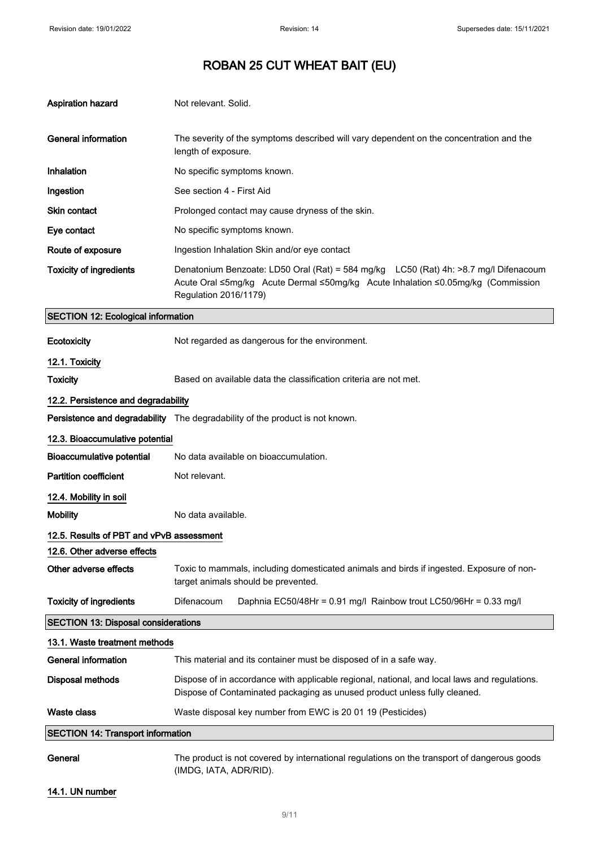| <b>Aspiration hazard</b>                   | Not relevant. Solid.                                                                                                                                                                              |  |
|--------------------------------------------|---------------------------------------------------------------------------------------------------------------------------------------------------------------------------------------------------|--|
| <b>General information</b>                 | The severity of the symptoms described will vary dependent on the concentration and the<br>length of exposure.                                                                                    |  |
| Inhalation                                 | No specific symptoms known.                                                                                                                                                                       |  |
| Ingestion                                  | See section 4 - First Aid                                                                                                                                                                         |  |
| <b>Skin contact</b>                        | Prolonged contact may cause dryness of the skin.                                                                                                                                                  |  |
| Eye contact                                | No specific symptoms known.                                                                                                                                                                       |  |
| Route of exposure                          | Ingestion Inhalation Skin and/or eye contact                                                                                                                                                      |  |
| <b>Toxicity of ingredients</b>             | Denatonium Benzoate: LD50 Oral (Rat) = 584 mg/kg LC50 (Rat) 4h: >8.7 mg/l Difenacoum<br>Acute Oral ≤5mg/kg Acute Dermal ≤50mg/kg Acute Inhalation ≤0.05mg/kg (Commission<br>Regulation 2016/1179) |  |
| <b>SECTION 12: Ecological information</b>  |                                                                                                                                                                                                   |  |
| Ecotoxicity                                | Not regarded as dangerous for the environment.                                                                                                                                                    |  |
| 12.1. Toxicity                             |                                                                                                                                                                                                   |  |
| <b>Toxicity</b>                            | Based on available data the classification criteria are not met.                                                                                                                                  |  |
| 12.2. Persistence and degradability        |                                                                                                                                                                                                   |  |
|                                            | Persistence and degradability The degradability of the product is not known.                                                                                                                      |  |
| 12.3. Bioaccumulative potential            |                                                                                                                                                                                                   |  |
| <b>Bioaccumulative potential</b>           | No data available on bioaccumulation.                                                                                                                                                             |  |
| <b>Partition coefficient</b>               | Not relevant.                                                                                                                                                                                     |  |
| 12.4. Mobility in soil                     |                                                                                                                                                                                                   |  |
| <b>Mobility</b>                            | No data available.                                                                                                                                                                                |  |
| 12.5. Results of PBT and vPvB assessment   |                                                                                                                                                                                                   |  |
| 12.6. Other adverse effects                |                                                                                                                                                                                                   |  |
| Other adverse effects                      | Toxic to mammals, including domesticated animals and birds if ingested. Exposure of non-<br>target animals should be prevented.                                                                   |  |
| <b>Toxicity of ingredients</b>             | Difenacoum<br>Daphnia EC50/48Hr = 0.91 mg/l Rainbow trout LC50/96Hr = 0.33 mg/l                                                                                                                   |  |
| <b>SECTION 13: Disposal considerations</b> |                                                                                                                                                                                                   |  |
| 13.1. Waste treatment methods              |                                                                                                                                                                                                   |  |
| <b>General information</b>                 | This material and its container must be disposed of in a safe way.                                                                                                                                |  |
| <b>Disposal methods</b>                    | Dispose of in accordance with applicable regional, national, and local laws and regulations.<br>Dispose of Contaminated packaging as unused product unless fully cleaned.                         |  |
| <b>Waste class</b>                         | Waste disposal key number from EWC is 20 01 19 (Pesticides)                                                                                                                                       |  |
| <b>SECTION 14: Transport information</b>   |                                                                                                                                                                                                   |  |
| General                                    | The product is not covered by international regulations on the transport of dangerous goods<br>(IMDG, IATA, ADR/RID).                                                                             |  |

14.1. UN number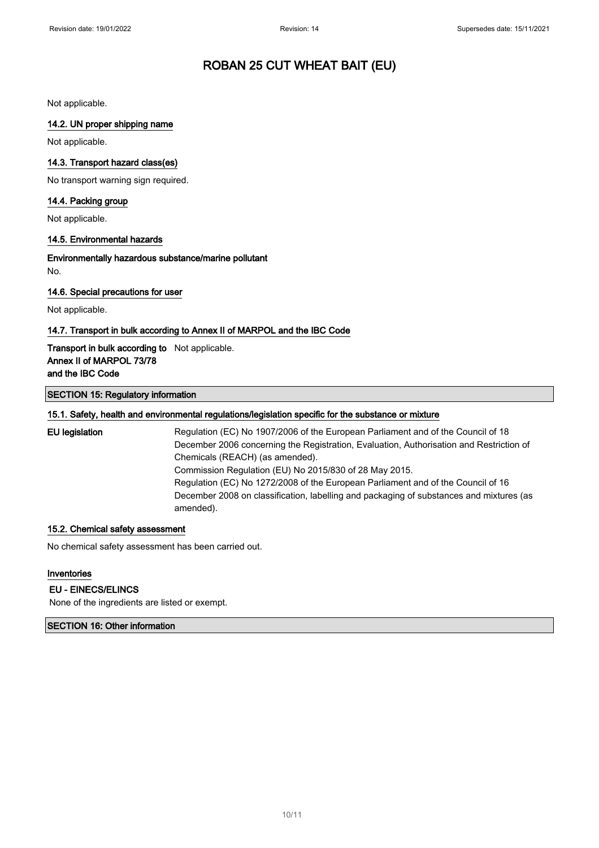Not applicable.

#### 14.2. UN proper shipping name

Not applicable.

#### 14.3. Transport hazard class(es)

No transport warning sign required.

#### 14.4. Packing group

Not applicable.

#### 14.5. Environmental hazards

Environmentally hazardous substance/marine pollutant No.

#### 14.6. Special precautions for user

Not applicable.

#### 14.7. Transport in bulk according to Annex II of MARPOL and the IBC Code

### Transport in bulk according to Not applicable. Annex II of MARPOL 73/78 and the IBC Code

#### SECTION 15: Regulatory information

#### 15.1. Safety, health and environmental regulations/legislation specific for the substance or mixture

EU legislation Regulation (EC) No 1907/2006 of the European Parliament and of the Council of 18 December 2006 concerning the Registration, Evaluation, Authorisation and Restriction of Chemicals (REACH) (as amended). Commission Regulation (EU) No 2015/830 of 28 May 2015. Regulation (EC) No 1272/2008 of the European Parliament and of the Council of 16 December 2008 on classification, labelling and packaging of substances and mixtures (as amended).

#### 15.2. Chemical safety assessment

No chemical safety assessment has been carried out.

#### Inventories

#### EU - EINECS/ELINCS

None of the ingredients are listed or exempt.

#### SECTION 16: Other information